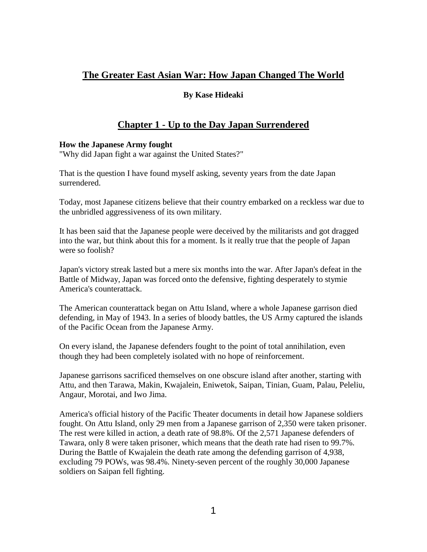# **The Greater East Asian War: How Japan Changed The World**

## **By Kase Hideaki**

# **Chapter 1 - Up to the Day Japan Surrendered**

### **How the Japanese Army fought**

"Why did Japan fight a war against the United States?"

That is the question I have found myself asking, seventy years from the date Japan surrendered.

Today, most Japanese citizens believe that their country embarked on a reckless war due to the unbridled aggressiveness of its own military.

It has been said that the Japanese people were deceived by the militarists and got dragged into the war, but think about this for a moment. Is it really true that the people of Japan were so foolish?

Japan's victory streak lasted but a mere six months into the war. After Japan's defeat in the Battle of Midway, Japan was forced onto the defensive, fighting desperately to stymie America's counterattack.

The American counterattack began on Attu Island, where a whole Japanese garrison died defending, in May of 1943. In a series of bloody battles, the US Army captured the islands of the Pacific Ocean from the Japanese Army.

On every island, the Japanese defenders fought to the point of total annihilation, even though they had been completely isolated with no hope of reinforcement.

Japanese garrisons sacrificed themselves on one obscure island after another, starting with Attu, and then Tarawa, Makin, Kwajalein, Eniwetok, Saipan, Tinian, Guam, Palau, Peleliu, Angaur, Morotai, and Iwo Jima.

America's official history of the Pacific Theater documents in detail how Japanese soldiers fought. On Attu Island, only 29 men from a Japanese garrison of 2,350 were taken prisoner. The rest were killed in action, a death rate of 98.8%. Of the 2,571 Japanese defenders of Tawara, only 8 were taken prisoner, which means that the death rate had risen to 99.7%. During the Battle of Kwajalein the death rate among the defending garrison of 4,938, excluding 79 POWs, was 98.4%. Ninety-seven percent of the roughly 30,000 Japanese soldiers on Saipan fell fighting.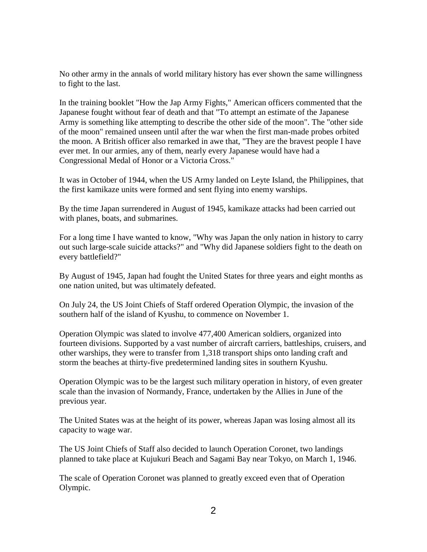No other army in the annals of world military history has ever shown the same willingness to fight to the last.

In the training booklet "How the Jap Army Fights," American officers commented that the Japanese fought without fear of death and that "To attempt an estimate of the Japanese Army is something like attempting to describe the other side of the moon". The "other side of the moon" remained unseen until after the war when the first man-made probes orbited the moon. A British officer also remarked in awe that, "They are the bravest people I have ever met. In our armies, any of them, nearly every Japanese would have had a Congressional Medal of Honor or a Victoria Cross."

It was in October of 1944, when the US Army landed on Leyte Island, the Philippines, that the first kamikaze units were formed and sent flying into enemy warships.

By the time Japan surrendered in August of 1945, kamikaze attacks had been carried out with planes, boats, and submarines.

For a long time I have wanted to know, "Why was Japan the only nation in history to carry out such large-scale suicide attacks?" and "Why did Japanese soldiers fight to the death on every battlefield?"

By August of 1945, Japan had fought the United States for three years and eight months as one nation united, but was ultimately defeated.

On July 24, the US Joint Chiefs of Staff ordered Operation Olympic, the invasion of the southern half of the island of Kyushu, to commence on November 1.

Operation Olympic was slated to involve 477,400 American soldiers, organized into fourteen divisions. Supported by a vast number of aircraft carriers, battleships, cruisers, and other warships, they were to transfer from 1,318 transport ships onto landing craft and storm the beaches at thirty-five predetermined landing sites in southern Kyushu.

Operation Olympic was to be the largest such military operation in history, of even greater scale than the invasion of Normandy, France, undertaken by the Allies in June of the previous year.

The United States was at the height of its power, whereas Japan was losing almost all its capacity to wage war.

The US Joint Chiefs of Staff also decided to launch Operation Coronet, two landings planned to take place at Kujukuri Beach and Sagami Bay near Tokyo, on March 1, 1946.

The scale of Operation Coronet was planned to greatly exceed even that of Operation Olympic.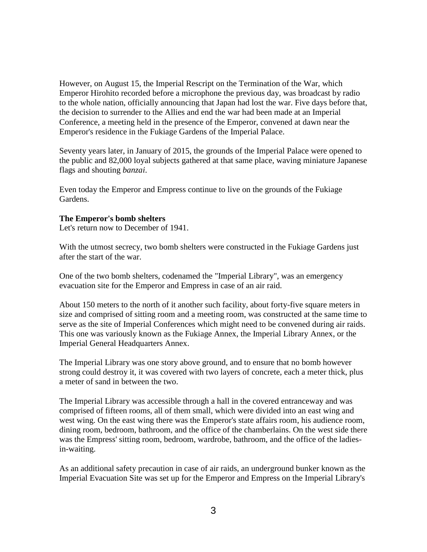However, on August 15, the Imperial Rescript on the Termination of the War, which Emperor Hirohito recorded before a microphone the previous day, was broadcast by radio to the whole nation, officially announcing that Japan had lost the war. Five days before that, the decision to surrender to the Allies and end the war had been made at an Imperial Conference, a meeting held in the presence of the Emperor, convened at dawn near the Emperor's residence in the Fukiage Gardens of the Imperial Palace.

Seventy years later, in January of 2015, the grounds of the Imperial Palace were opened to the public and 82,000 loyal subjects gathered at that same place, waving miniature Japanese flags and shouting *banzai*.

Even today the Emperor and Empress continue to live on the grounds of the Fukiage Gardens.

### **The Emperor's bomb shelters**

Let's return now to December of 1941.

With the utmost secrecy, two bomb shelters were constructed in the Fukiage Gardens just after the start of the war.

One of the two bomb shelters, codenamed the "Imperial Library", was an emergency evacuation site for the Emperor and Empress in case of an air raid.

About 150 meters to the north of it another such facility, about forty-five square meters in size and comprised of sitting room and a meeting room, was constructed at the same time to serve as the site of Imperial Conferences which might need to be convened during air raids. This one was variously known as the Fukiage Annex, the Imperial Library Annex, or the Imperial General Headquarters Annex.

The Imperial Library was one story above ground, and to ensure that no bomb however strong could destroy it, it was covered with two layers of concrete, each a meter thick, plus a meter of sand in between the two.

The Imperial Library was accessible through a hall in the covered entranceway and was comprised of fifteen rooms, all of them small, which were divided into an east wing and west wing. On the east wing there was the Emperor's state affairs room, his audience room, dining room, bedroom, bathroom, and the office of the chamberlains. On the west side there was the Empress' sitting room, bedroom, wardrobe, bathroom, and the office of the ladiesin-waiting.

As an additional safety precaution in case of air raids, an underground bunker known as the Imperial Evacuation Site was set up for the Emperor and Empress on the Imperial Library's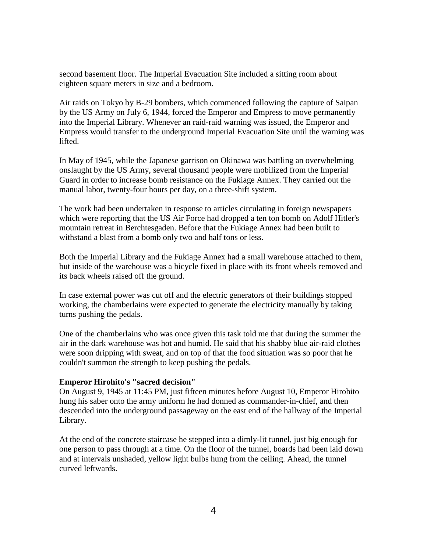second basement floor. The Imperial Evacuation Site included a sitting room about eighteen square meters in size and a bedroom.

Air raids on Tokyo by B-29 bombers, which commenced following the capture of Saipan by the US Army on July 6, 1944, forced the Emperor and Empress to move permanently into the Imperial Library. Whenever an raid-raid warning was issued, the Emperor and Empress would transfer to the underground Imperial Evacuation Site until the warning was lifted.

In May of 1945, while the Japanese garrison on Okinawa was battling an overwhelming onslaught by the US Army, several thousand people were mobilized from the Imperial Guard in order to increase bomb resistance on the Fukiage Annex. They carried out the manual labor, twenty-four hours per day, on a three-shift system.

The work had been undertaken in response to articles circulating in foreign newspapers which were reporting that the US Air Force had dropped a ten ton bomb on Adolf Hitler's mountain retreat in Berchtesgaden. Before that the Fukiage Annex had been built to withstand a blast from a bomb only two and half tons or less.

Both the Imperial Library and the Fukiage Annex had a small warehouse attached to them, but inside of the warehouse was a bicycle fixed in place with its front wheels removed and its back wheels raised off the ground.

In case external power was cut off and the electric generators of their buildings stopped working, the chamberlains were expected to generate the electricity manually by taking turns pushing the pedals.

One of the chamberlains who was once given this task told me that during the summer the air in the dark warehouse was hot and humid. He said that his shabby blue air-raid clothes were soon dripping with sweat, and on top of that the food situation was so poor that he couldn't summon the strength to keep pushing the pedals.

#### **Emperor Hirohito's "sacred decision"**

On August 9, 1945 at 11:45 PM, just fifteen minutes before August 10, Emperor Hirohito hung his saber onto the army uniform he had donned as commander-in-chief, and then descended into the underground passageway on the east end of the hallway of the Imperial Library.

At the end of the concrete staircase he stepped into a dimly-lit tunnel, just big enough for one person to pass through at a time. On the floor of the tunnel, boards had been laid down and at intervals unshaded, yellow light bulbs hung from the ceiling. Ahead, the tunnel curved leftwards.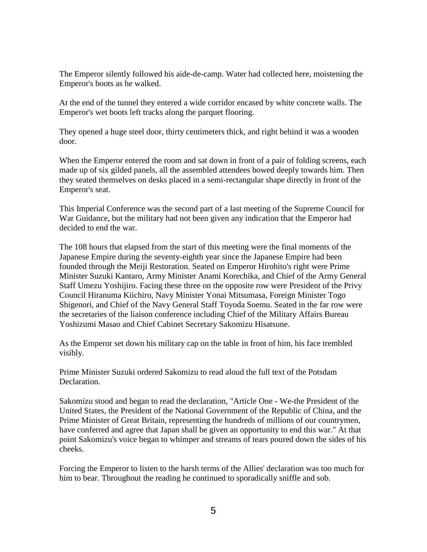The Emperor silently followed his aide-de-camp. Water had collected here, moistening the Emperor's boots as he walked.

At the end of the tunnel they entered a wide corridor encased by white concrete walls. The Emperor's wet boots left tracks along the parquet flooring.

They opened a huge steel door, thirty centimeters thick, and right behind it was a wooden door.

When the Emperor entered the room and sat down in front of a pair of folding screens, each made up of six gilded panels, all the assembled attendees bowed deeply towards him. Then they seated themselves on desks placed in a semi-rectangular shape directly in front of the Emperor's seat.

This Imperial Conference was the second part of a last meeting of the Supreme Council for War Guidance, but the military had not been given any indication that the Emperor had decided to end the war.

The 108 hours that elapsed from the start of this meeting were the final moments of the Japanese Empire during the seventy-eighth year since the Japanese Empire had been founded through the Meiji Restoration. Seated on Emperor Hirohito's right were Prime Minister Suzuki Kantaro, Army Minister Anami Korechika, and Chief of the Army General Staff Umezu Yoshijiro. Facing these three on the opposite row were President of the Privy Council Hiranuma Kiichiro, Navy Minister Yonai Mitsumasa, Foreign Minister Togo Shigenori, and Chief of the Navy General Staff Toyoda Soemu. Seated in the far row were the secretaries of the liaison conference including Chief of the Military Affairs Bureau Yoshizumi Masao and Chief Cabinet Secretary Sakomizu Hisatsune.

As the Emperor set down his military cap on the table in front of him, his face trembled visibly.

Prime Minister Suzuki ordered Sakomizu to read aloud the full text of the Potsdam Declaration.

Sakomizu stood and began to read the declaration, "Article One - We-the President of the United States, the President of the National Government of the Republic of China, and the Prime Minister of Great Britain, representing the hundreds of millions of our countrymen, have conferred and agree that Japan shall be given an opportunity to end this war." At that point Sakomizu's voice began to whimper and streams of tears poured down the sides of his cheeks.

Forcing the Emperor to listen to the harsh terms of the Allies' declaration was too much for him to bear. Throughout the reading he continued to sporadically sniffle and sob.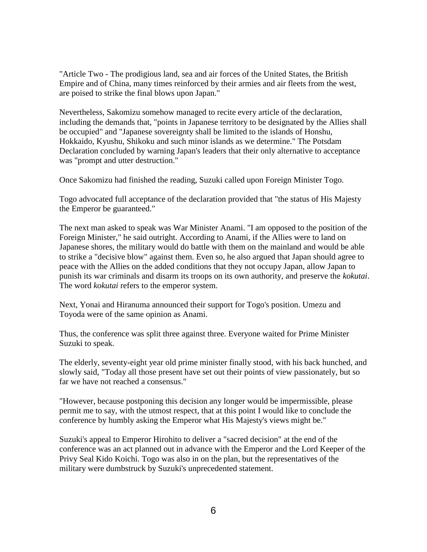"Article Two - The prodigious land, sea and air forces of the United States, the British Empire and of China, many times reinforced by their armies and air fleets from the west, are poised to strike the final blows upon Japan."

Nevertheless, Sakomizu somehow managed to recite every article of the declaration, including the demands that, "points in Japanese territory to be designated by the Allies shall be occupied" and "Japanese sovereignty shall be limited to the islands of Honshu, Hokkaido, Kyushu, Shikoku and such minor islands as we determine." The Potsdam Declaration concluded by warning Japan's leaders that their only alternative to acceptance was "prompt and utter destruction."

Once Sakomizu had finished the reading, Suzuki called upon Foreign Minister Togo.

Togo advocated full acceptance of the declaration provided that "the status of His Majesty the Emperor be guaranteed."

The next man asked to speak was War Minister Anami. "I am opposed to the position of the Foreign Minister," he said outright. According to Anami, if the Allies were to land on Japanese shores, the military would do battle with them on the mainland and would be able to strike a "decisive blow" against them. Even so, he also argued that Japan should agree to peace with the Allies on the added conditions that they not occupy Japan, allow Japan to punish its war criminals and disarm its troops on its own authority, and preserve the *kokutai*. The word *kokutai* refers to the emperor system.

Next, Yonai and Hiranuma announced their support for Togo's position. Umezu and Toyoda were of the same opinion as Anami.

Thus, the conference was split three against three. Everyone waited for Prime Minister Suzuki to speak.

The elderly, seventy-eight year old prime minister finally stood, with his back hunched, and slowly said, "Today all those present have set out their points of view passionately, but so far we have not reached a consensus."

"However, because postponing this decision any longer would be impermissible, please permit me to say, with the utmost respect, that at this point I would like to conclude the conference by humbly asking the Emperor what His Majesty's views might be."

Suzuki's appeal to Emperor Hirohito to deliver a "sacred decision" at the end of the conference was an act planned out in advance with the Emperor and the Lord Keeper of the Privy Seal Kido Koichi. Togo was also in on the plan, but the representatives of the military were dumbstruck by Suzuki's unprecedented statement.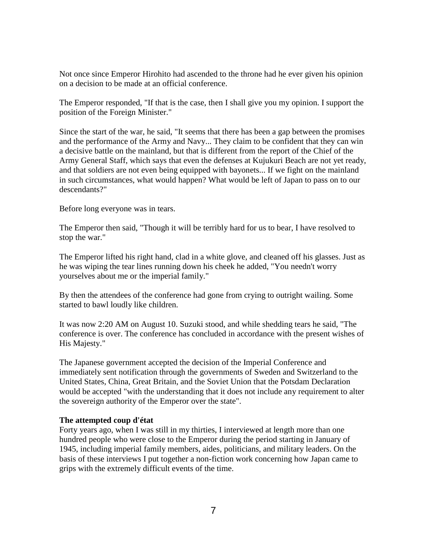Not once since Emperor Hirohito had ascended to the throne had he ever given his opinion on a decision to be made at an official conference.

The Emperor responded, "If that is the case, then I shall give you my opinion. I support the position of the Foreign Minister."

Since the start of the war, he said, "It seems that there has been a gap between the promises and the performance of the Army and Navy... They claim to be confident that they can win a decisive battle on the mainland, but that is different from the report of the Chief of the Army General Staff, which says that even the defenses at Kujukuri Beach are not yet ready, and that soldiers are not even being equipped with bayonets... If we fight on the mainland in such circumstances, what would happen? What would be left of Japan to pass on to our descendants?"

Before long everyone was in tears.

The Emperor then said, "Though it will be terribly hard for us to bear, I have resolved to stop the war."

The Emperor lifted his right hand, clad in a white glove, and cleaned off his glasses. Just as he was wiping the tear lines running down his cheek he added, "You needn't worry yourselves about me or the imperial family."

By then the attendees of the conference had gone from crying to outright wailing. Some started to bawl loudly like children.

It was now 2:20 AM on August 10. Suzuki stood, and while shedding tears he said, "The conference is over. The conference has concluded in accordance with the present wishes of His Majesty."

The Japanese government accepted the decision of the Imperial Conference and immediately sent notification through the governments of Sweden and Switzerland to the United States, China, Great Britain, and the Soviet Union that the Potsdam Declaration would be accepted "with the understanding that it does not include any requirement to alter the sovereign authority of the Emperor over the state".

### **The attempted coup d'état**

Forty years ago, when I was still in my thirties, I interviewed at length more than one hundred people who were close to the Emperor during the period starting in January of 1945, including imperial family members, aides, politicians, and military leaders. On the basis of these interviews I put together a non-fiction work concerning how Japan came to grips with the extremely difficult events of the time.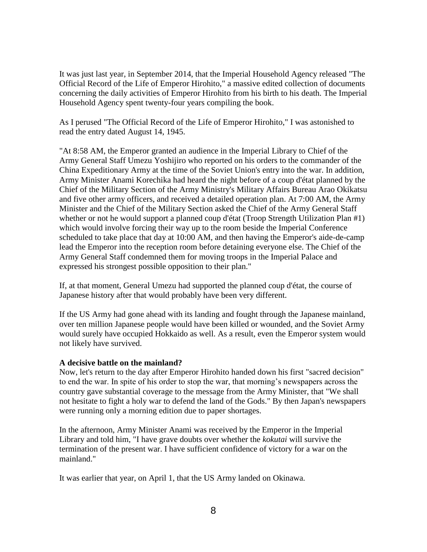It was just last year, in September 2014, that the Imperial Household Agency released "The Official Record of the Life of Emperor Hirohito," a massive edited collection of documents concerning the daily activities of Emperor Hirohito from his birth to his death. The Imperial Household Agency spent twenty-four years compiling the book.

As I perused "The Official Record of the Life of Emperor Hirohito," I was astonished to read the entry dated August 14, 1945.

"At 8:58 AM, the Emperor granted an audience in the Imperial Library to Chief of the Army General Staff Umezu Yoshijiro who reported on his orders to the commander of the China Expeditionary Army at the time of the Soviet Union's entry into the war. In addition, Army Minister Anami Korechika had heard the night before of a coup d'état planned by the Chief of the Military Section of the Army Ministry's Military Affairs Bureau Arao Okikatsu and five other army officers, and received a detailed operation plan. At 7:00 AM, the Army Minister and the Chief of the Military Section asked the Chief of the Army General Staff whether or not he would support a planned coup d'état (Troop Strength Utilization Plan #1) which would involve forcing their way up to the room beside the Imperial Conference scheduled to take place that day at 10:00 AM, and then having the Emperor's aide-de-camp lead the Emperor into the reception room before detaining everyone else. The Chief of the Army General Staff condemned them for moving troops in the Imperial Palace and expressed his strongest possible opposition to their plan."

If, at that moment, General Umezu had supported the planned coup d'état, the course of Japanese history after that would probably have been very different.

If the US Army had gone ahead with its landing and fought through the Japanese mainland, over ten million Japanese people would have been killed or wounded, and the Soviet Army would surely have occupied Hokkaido as well. As a result, even the Emperor system would not likely have survived.

#### **A decisive battle on the mainland?**

Now, let's return to the day after Emperor Hirohito handed down his first "sacred decision" to end the war. In spite of his order to stop the war, that morning's newspapers across the country gave substantial coverage to the message from the Army Minister, that "We shall not hesitate to fight a holy war to defend the land of the Gods." By then Japan's newspapers were running only a morning edition due to paper shortages.

In the afternoon, Army Minister Anami was received by the Emperor in the Imperial Library and told him, "I have grave doubts over whether the *kokutai* will survive the termination of the present war. I have sufficient confidence of victory for a war on the mainland."

It was earlier that year, on April 1, that the US Army landed on Okinawa.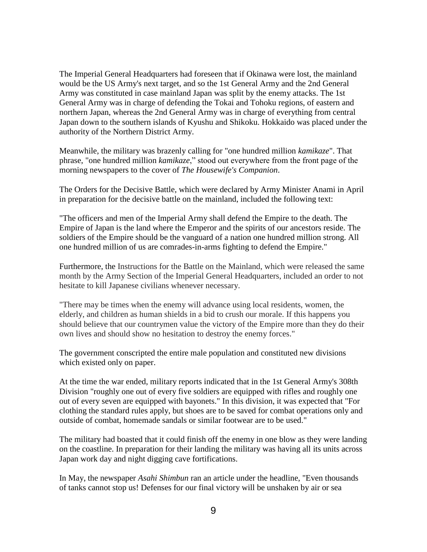The Imperial General Headquarters had foreseen that if Okinawa were lost, the mainland would be the US Army's next target, and so the 1st General Army and the 2nd General Army was constituted in case mainland Japan was split by the enemy attacks. The 1st General Army was in charge of defending the Tokai and Tohoku regions, of eastern and northern Japan, whereas the 2nd General Army was in charge of everything from central Japan down to the southern islands of Kyushu and Shikoku. Hokkaido was placed under the authority of the Northern District Army.

Meanwhile, the military was brazenly calling for "one hundred million *kamikaze*". That phrase, "one hundred million *kamikaze*," stood out everywhere from the front page of the morning newspapers to the cover of *The Housewife's Companion*.

The Orders for the Decisive Battle, which were declared by Army Minister Anami in April in preparation for the decisive battle on the mainland, included the following text:

"The officers and men of the Imperial Army shall defend the Empire to the death. The Empire of Japan is the land where the Emperor and the spirits of our ancestors reside. The soldiers of the Empire should be the vanguard of a nation one hundred million strong. All one hundred million of us are comrades-in-arms fighting to defend the Empire."

Furthermore, the Instructions for the Battle on the Mainland, which were released the same month by the Army Section of the Imperial General Headquarters, included an order to not hesitate to kill Japanese civilians whenever necessary.

"There may be times when the enemy will advance using local residents, women, the elderly, and children as human shields in a bid to crush our morale. If this happens you should believe that our countrymen value the victory of the Empire more than they do their own lives and should show no hesitation to destroy the enemy forces."

The government conscripted the entire male population and constituted new divisions which existed only on paper.

At the time the war ended, military reports indicated that in the 1st General Army's 308th Division "roughly one out of every five soldiers are equipped with rifles and roughly one out of every seven are equipped with bayonets." In this division, it was expected that "For clothing the standard rules apply, but shoes are to be saved for combat operations only and outside of combat, homemade sandals or similar footwear are to be used."

The military had boasted that it could finish off the enemy in one blow as they were landing on the coastline. In preparation for their landing the military was having all its units across Japan work day and night digging cave fortifications.

In May, the newspaper *Asahi Shimbun* ran an article under the headline, "Even thousands of tanks cannot stop us! Defenses for our final victory will be unshaken by air or sea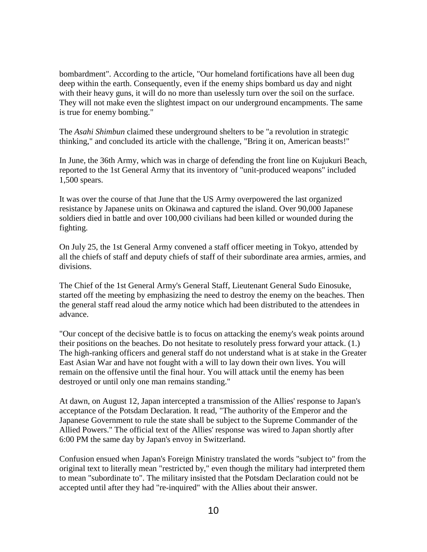bombardment". According to the article, "Our homeland fortifications have all been dug deep within the earth. Consequently, even if the enemy ships bombard us day and night with their heavy guns, it will do no more than uselessly turn over the soil on the surface. They will not make even the slightest impact on our underground encampments. The same is true for enemy bombing."

The *Asahi Shimbun* claimed these underground shelters to be "a revolution in strategic thinking," and concluded its article with the challenge, "Bring it on, American beasts!"

In June, the 36th Army, which was in charge of defending the front line on Kujukuri Beach, reported to the 1st General Army that its inventory of "unit-produced weapons" included 1,500 spears.

It was over the course of that June that the US Army overpowered the last organized resistance by Japanese units on Okinawa and captured the island. Over 90,000 Japanese soldiers died in battle and over 100,000 civilians had been killed or wounded during the fighting.

On July 25, the 1st General Army convened a staff officer meeting in Tokyo, attended by all the chiefs of staff and deputy chiefs of staff of their subordinate area armies, armies, and divisions.

The Chief of the 1st General Army's General Staff, Lieutenant General Sudo Einosuke, started off the meeting by emphasizing the need to destroy the enemy on the beaches. Then the general staff read aloud the army notice which had been distributed to the attendees in advance.

"Our concept of the decisive battle is to focus on attacking the enemy's weak points around their positions on the beaches. Do not hesitate to resolutely press forward your attack. (1.) The high-ranking officers and general staff do not understand what is at stake in the Greater East Asian War and have not fought with a will to lay down their own lives. You will remain on the offensive until the final hour. You will attack until the enemy has been destroyed or until only one man remains standing."

At dawn, on August 12, Japan intercepted a transmission of the Allies' response to Japan's acceptance of the Potsdam Declaration. It read, "The authority of the Emperor and the Japanese Government to rule the state shall be subject to the Supreme Commander of the Allied Powers." The official text of the Allies' response was wired to Japan shortly after 6:00 PM the same day by Japan's envoy in Switzerland.

Confusion ensued when Japan's Foreign Ministry translated the words "subject to" from the original text to literally mean "restricted by," even though the military had interpreted them to mean "subordinate to". The military insisted that the Potsdam Declaration could not be accepted until after they had "re-inquired" with the Allies about their answer.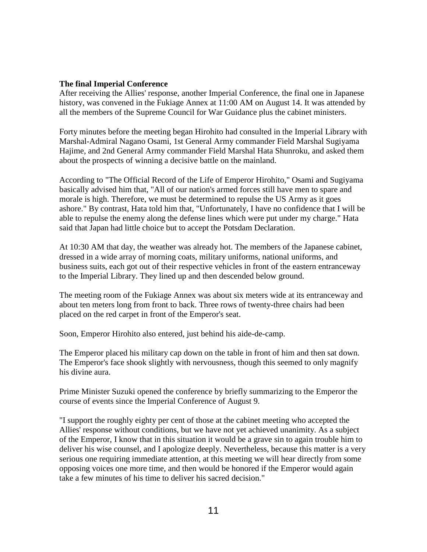### **The final Imperial Conference**

After receiving the Allies' response, another Imperial Conference, the final one in Japanese history, was convened in the Fukiage Annex at 11:00 AM on August 14. It was attended by all the members of the Supreme Council for War Guidance plus the cabinet ministers.

Forty minutes before the meeting began Hirohito had consulted in the Imperial Library with Marshal-Admiral Nagano Osami, 1st General Army commander Field Marshal Sugiyama Hajime, and 2nd General Army commander Field Marshal Hata Shunroku, and asked them about the prospects of winning a decisive battle on the mainland.

According to "The Official Record of the Life of Emperor Hirohito," Osami and Sugiyama basically advised him that, "All of our nation's armed forces still have men to spare and morale is high. Therefore, we must be determined to repulse the US Army as it goes ashore." By contrast, Hata told him that, "Unfortunately, I have no confidence that I will be able to repulse the enemy along the defense lines which were put under my charge." Hata said that Japan had little choice but to accept the Potsdam Declaration.

At 10:30 AM that day, the weather was already hot. The members of the Japanese cabinet, dressed in a wide array of morning coats, military uniforms, national uniforms, and business suits, each got out of their respective vehicles in front of the eastern entranceway to the Imperial Library. They lined up and then descended below ground.

The meeting room of the Fukiage Annex was about six meters wide at its entranceway and about ten meters long from front to back. Three rows of twenty-three chairs had been placed on the red carpet in front of the Emperor's seat.

Soon, Emperor Hirohito also entered, just behind his aide-de-camp.

The Emperor placed his military cap down on the table in front of him and then sat down. The Emperor's face shook slightly with nervousness, though this seemed to only magnify his divine aura.

Prime Minister Suzuki opened the conference by briefly summarizing to the Emperor the course of events since the Imperial Conference of August 9.

"I support the roughly eighty per cent of those at the cabinet meeting who accepted the Allies' response without conditions, but we have not yet achieved unanimity. As a subject of the Emperor, I know that in this situation it would be a grave sin to again trouble him to deliver his wise counsel, and I apologize deeply. Nevertheless, because this matter is a very serious one requiring immediate attention, at this meeting we will hear directly from some opposing voices one more time, and then would be honored if the Emperor would again take a few minutes of his time to deliver his sacred decision."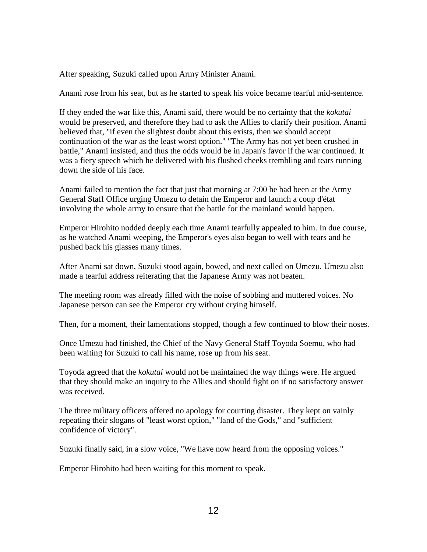After speaking, Suzuki called upon Army Minister Anami.

Anami rose from his seat, but as he started to speak his voice became tearful mid-sentence.

If they ended the war like this, Anami said, there would be no certainty that the *kokutai* would be preserved, and therefore they had to ask the Allies to clarify their position. Anami believed that, "if even the slightest doubt about this exists, then we should accept continuation of the war as the least worst option." "The Army has not yet been crushed in battle," Anami insisted, and thus the odds would be in Japan's favor if the war continued. It was a fiery speech which he delivered with his flushed cheeks trembling and tears running down the side of his face.

Anami failed to mention the fact that just that morning at 7:00 he had been at the Army General Staff Office urging Umezu to detain the Emperor and launch a coup d'état involving the whole army to ensure that the battle for the mainland would happen.

Emperor Hirohito nodded deeply each time Anami tearfully appealed to him. In due course, as he watched Anami weeping, the Emperor's eyes also began to well with tears and he pushed back his glasses many times.

After Anami sat down, Suzuki stood again, bowed, and next called on Umezu. Umezu also made a tearful address reiterating that the Japanese Army was not beaten.

The meeting room was already filled with the noise of sobbing and muttered voices. No Japanese person can see the Emperor cry without crying himself.

Then, for a moment, their lamentations stopped, though a few continued to blow their noses.

Once Umezu had finished, the Chief of the Navy General Staff Toyoda Soemu, who had been waiting for Suzuki to call his name, rose up from his seat.

Toyoda agreed that the *kokutai* would not be maintained the way things were. He argued that they should make an inquiry to the Allies and should fight on if no satisfactory answer was received.

The three military officers offered no apology for courting disaster. They kept on vainly repeating their slogans of "least worst option," "land of the Gods," and "sufficient confidence of victory".

Suzuki finally said, in a slow voice, "We have now heard from the opposing voices."

Emperor Hirohito had been waiting for this moment to speak.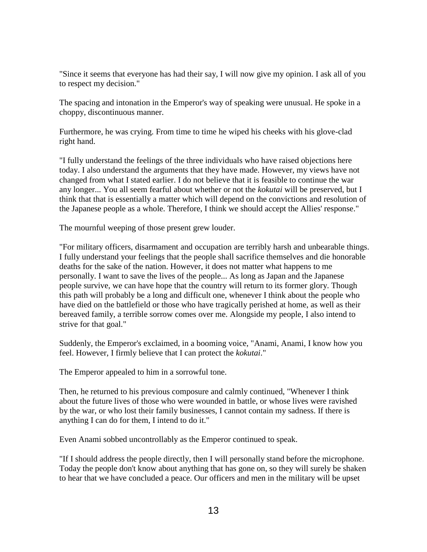"Since it seems that everyone has had their say, I will now give my opinion. I ask all of you to respect my decision."

The spacing and intonation in the Emperor's way of speaking were unusual. He spoke in a choppy, discontinuous manner.

Furthermore, he was crying. From time to time he wiped his cheeks with his glove-clad right hand.

"I fully understand the feelings of the three individuals who have raised objections here today. I also understand the arguments that they have made. However, my views have not changed from what I stated earlier. I do not believe that it is feasible to continue the war any longer... You all seem fearful about whether or not the *kokutai* will be preserved, but I think that that is essentially a matter which will depend on the convictions and resolution of the Japanese people as a whole. Therefore, I think we should accept the Allies' response."

The mournful weeping of those present grew louder.

"For military officers, disarmament and occupation are terribly harsh and unbearable things. I fully understand your feelings that the people shall sacrifice themselves and die honorable deaths for the sake of the nation. However, it does not matter what happens to me personally. I want to save the lives of the people... As long as Japan and the Japanese people survive, we can have hope that the country will return to its former glory. Though this path will probably be a long and difficult one, whenever I think about the people who have died on the battlefield or those who have tragically perished at home, as well as their bereaved family, a terrible sorrow comes over me. Alongside my people, I also intend to strive for that goal."

Suddenly, the Emperor's exclaimed, in a booming voice, "Anami, Anami, I know how you feel. However, I firmly believe that I can protect the *kokutai*."

The Emperor appealed to him in a sorrowful tone.

Then, he returned to his previous composure and calmly continued, "Whenever I think about the future lives of those who were wounded in battle, or whose lives were ravished by the war, or who lost their family businesses, I cannot contain my sadness. If there is anything I can do for them, I intend to do it."

Even Anami sobbed uncontrollably as the Emperor continued to speak.

"If I should address the people directly, then I will personally stand before the microphone. Today the people don't know about anything that has gone on, so they will surely be shaken to hear that we have concluded a peace. Our officers and men in the military will be upset